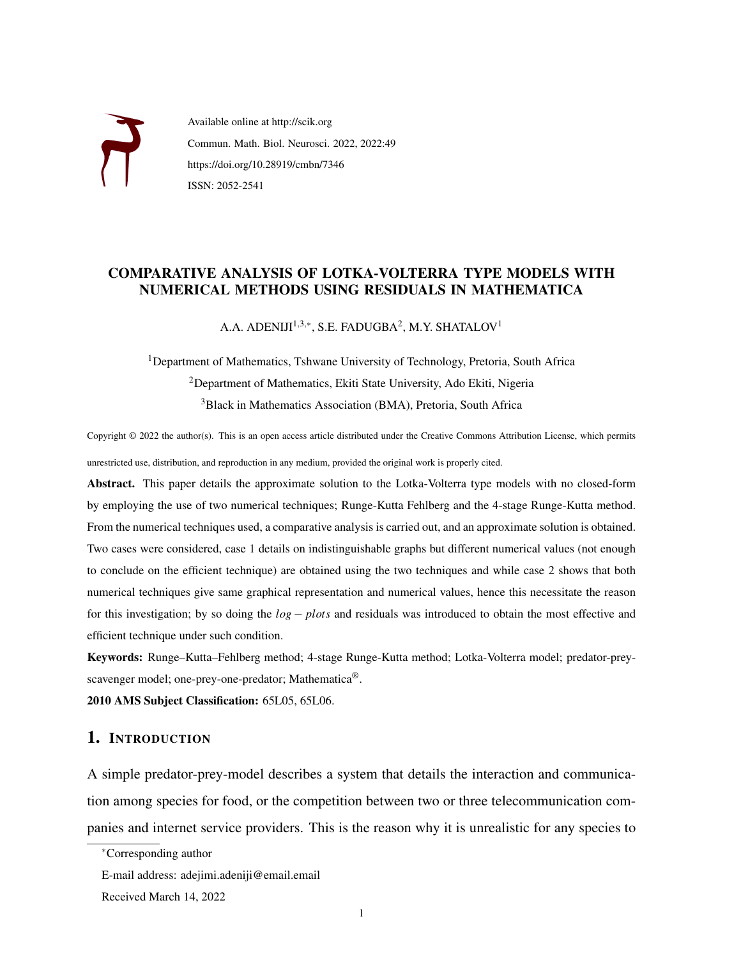

Available online at http://scik.org Commun. Math. Biol. Neurosci. 2022, 2022:49 https://doi.org/10.28919/cmbn/7346 ISSN: 2052-2541

# COMPARATIVE ANALYSIS OF LOTKA-VOLTERRA TYPE MODELS WITH NUMERICAL METHODS USING RESIDUALS IN MATHEMATICA

A.A. ADENIJI $^{1,3,*}$ , S.E. FADUGBA $^{2}$ , M.Y. SHATALOV $^{1}$ 

<sup>1</sup>Department of Mathematics, Tshwane University of Technology, Pretoria, South Africa <sup>2</sup>Department of Mathematics, Ekiti State University, Ado Ekiti, Nigeria <sup>3</sup>Black in Mathematics Association (BMA), Pretoria, South Africa

Copyright © 2022 the author(s). This is an open access article distributed under the Creative Commons Attribution License, which permits unrestricted use, distribution, and reproduction in any medium, provided the original work is properly cited.

Abstract. This paper details the approximate solution to the Lotka-Volterra type models with no closed-form by employing the use of two numerical techniques; Runge-Kutta Fehlberg and the 4-stage Runge-Kutta method. From the numerical techniques used, a comparative analysis is carried out, and an approximate solution is obtained. Two cases were considered, case 1 details on indistinguishable graphs but different numerical values (not enough to conclude on the efficient technique) are obtained using the two techniques and while case 2 shows that both numerical techniques give same graphical representation and numerical values, hence this necessitate the reason for this investigation; by so doing the *log* − *plots* and residuals was introduced to obtain the most effective and efficient technique under such condition.

Keywords: Runge–Kutta–Fehlberg method; 4-stage Runge-Kutta method; Lotka-Volterra model; predator-preyscavenger model; one-prey-one-predator; Mathematica®.

2010 AMS Subject Classification: 65L05, 65L06.

# 1. INTRODUCTION

A simple predator-prey-model describes a system that details the interaction and communication among species for food, or the competition between two or three telecommunication companies and internet service providers. This is the reason why it is unrealistic for any species to

<sup>∗</sup>Corresponding author

E-mail address: adejimi.adeniji@email.email

Received March 14, 2022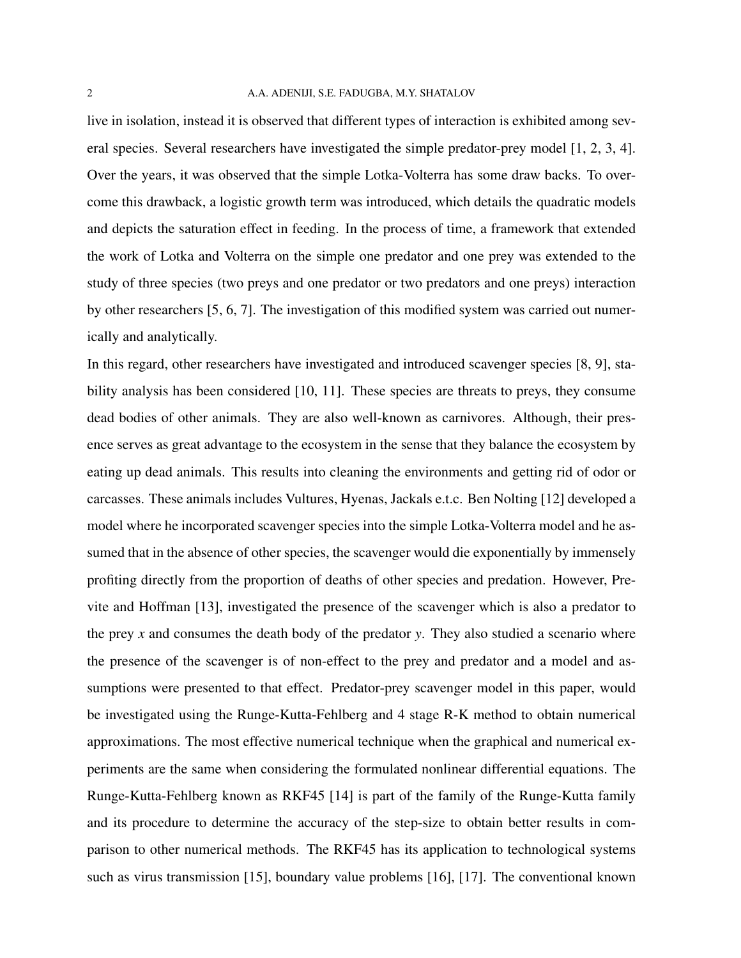#### 2 A.A. ADENIJI, S.E. FADUGBA, M.Y. SHATALOV

live in isolation, instead it is observed that different types of interaction is exhibited among several species. Several researchers have investigated the simple predator-prey model [\[1,](#page-15-0) [2,](#page-15-1) [3,](#page-15-2) [4\]](#page-15-3). Over the years, it was observed that the simple Lotka-Volterra has some draw backs. To overcome this drawback, a logistic growth term was introduced, which details the quadratic models and depicts the saturation effect in feeding. In the process of time, a framework that extended the work of Lotka and Volterra on the simple one predator and one prey was extended to the study of three species (two preys and one predator or two predators and one preys) interaction by other researchers [\[5,](#page-15-4) [6,](#page-15-5) [7\]](#page-15-6). The investigation of this modified system was carried out numerically and analytically.

In this regard, other researchers have investigated and introduced scavenger species [\[8,](#page-15-7) [9\]](#page-15-8), sta-bility analysis has been considered [\[10,](#page-15-9) [11\]](#page-16-0). These species are threats to preys, they consume dead bodies of other animals. They are also well-known as carnivores. Although, their presence serves as great advantage to the ecosystem in the sense that they balance the ecosystem by eating up dead animals. This results into cleaning the environments and getting rid of odor or carcasses. These animals includes Vultures, Hyenas, Jackals e.t.c. Ben Nolting [\[12\]](#page-16-1) developed a model where he incorporated scavenger species into the simple Lotka-Volterra model and he assumed that in the absence of other species, the scavenger would die exponentially by immensely profiting directly from the proportion of deaths of other species and predation. However, Previte and Hoffman [\[13\]](#page-16-2), investigated the presence of the scavenger which is also a predator to the prey *x* and consumes the death body of the predator *y*. They also studied a scenario where the presence of the scavenger is of non-effect to the prey and predator and a model and assumptions were presented to that effect. Predator-prey scavenger model in this paper, would be investigated using the Runge-Kutta-Fehlberg and 4 stage R-K method to obtain numerical approximations. The most effective numerical technique when the graphical and numerical experiments are the same when considering the formulated nonlinear differential equations. The Runge-Kutta-Fehlberg known as RKF45 [\[14\]](#page-16-3) is part of the family of the Runge-Kutta family and its procedure to determine the accuracy of the step-size to obtain better results in comparison to other numerical methods. The RKF45 has its application to technological systems such as virus transmission [\[15\]](#page-16-4), boundary value problems [\[16\]](#page-16-5), [\[17\]](#page-16-6). The conventional known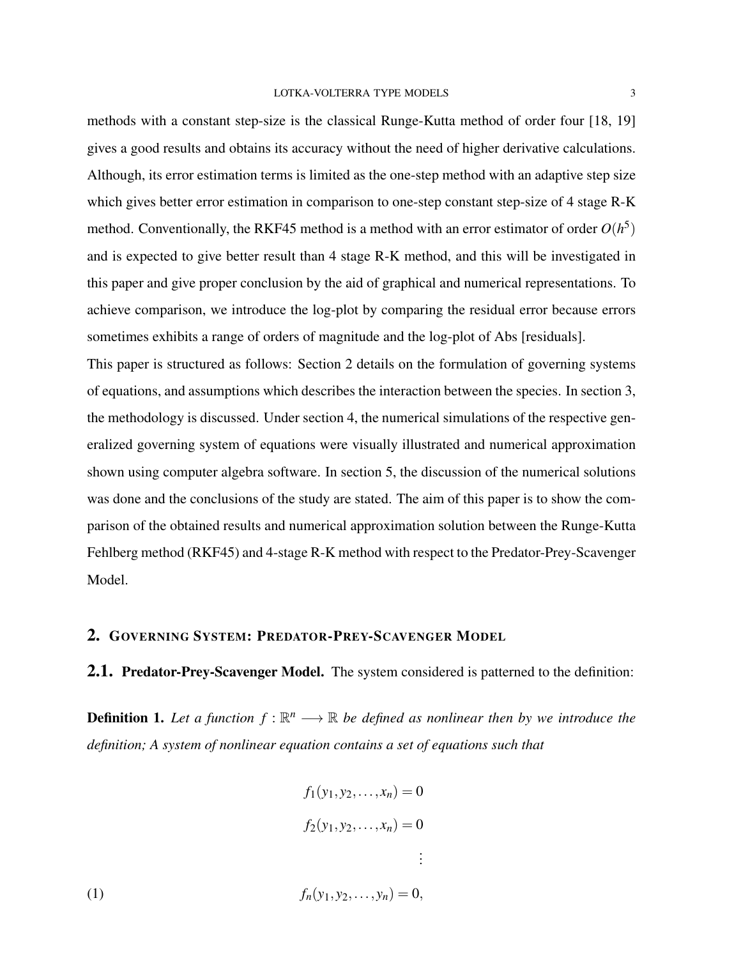methods with a constant step-size is the classical Runge-Kutta method of order four [\[18,](#page-16-7) [19\]](#page-16-8) gives a good results and obtains its accuracy without the need of higher derivative calculations. Although, its error estimation terms is limited as the one-step method with an adaptive step size which gives better error estimation in comparison to one-step constant step-size of 4 stage R-K method. Conventionally, the RKF45 method is a method with an error estimator of order  $O(h^5)$ and is expected to give better result than 4 stage R-K method, and this will be investigated in this paper and give proper conclusion by the aid of graphical and numerical representations. To achieve comparison, we introduce the log-plot by comparing the residual error because errors

This paper is structured as follows: Section [2](#page-2-0) details on the formulation of governing systems of equations, and assumptions which describes the interaction between the species. In section [3,](#page-5-0) the methodology is discussed. Under section [4,](#page-6-0) the numerical simulations of the respective generalized governing system of equations were visually illustrated and numerical approximation shown using computer algebra software. In section [5,](#page-14-0) the discussion of the numerical solutions was done and the conclusions of the study are stated. The aim of this paper is to show the comparison of the obtained results and numerical approximation solution between the Runge-Kutta Fehlberg method (RKF45) and 4-stage R-K method with respect to the Predator-Prey-Scavenger Model.

sometimes exhibits a range of orders of magnitude and the log-plot of Abs [residuals].

## <span id="page-2-0"></span>2. GOVERNING SYSTEM: PREDATOR-PREY-SCAVENGER MODEL

2.1. Predator-Prey-Scavenger Model. The system considered is patterned to the definition:

**Definition 1.** Let a function  $f : \mathbb{R}^n \longrightarrow \mathbb{R}$  be defined as nonlinear then by we introduce the *definition; A system of nonlinear equation contains a set of equations such that*

(1)  
\n
$$
f_1(y_1, y_2, \dots, x_n) = 0
$$
\n
$$
f_2(y_1, y_2, \dots, x_n) = 0
$$
\n
$$
\vdots
$$
\n
$$
f_n(y_1, y_2, \dots, y_n) = 0,
$$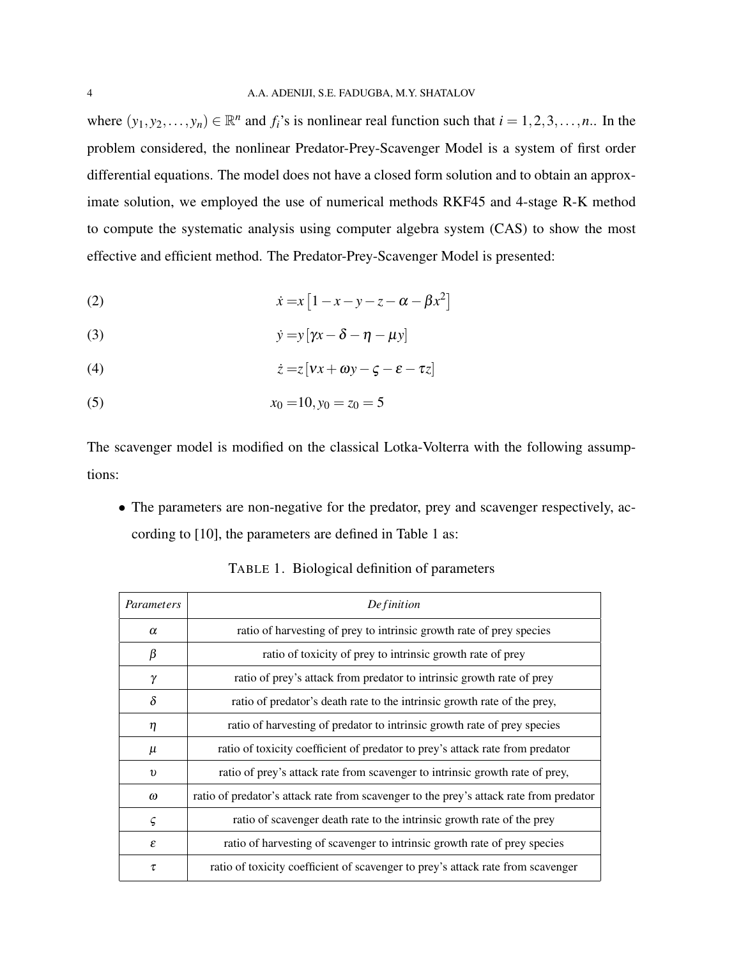where  $(y_1, y_2, \ldots, y_n) \in \mathbb{R}^n$  and  $f_i$ 's is nonlinear real function such that  $i = 1, 2, 3, \ldots, n$ .. In the problem considered, the nonlinear Predator-Prey-Scavenger Model is a system of first order differential equations. The model does not have a closed form solution and to obtain an approximate solution, we employed the use of numerical methods RKF45 and 4-stage R-K method to compute the systematic analysis using computer algebra system (CAS) to show the most effective and efficient method. The Predator-Prey-Scavenger Model is presented:

$$
(2) \qquad \qquad \dot{x} = x \left[ 1 - x - y - z - \alpha - \beta x^2 \right]
$$

$$
\dot{y} = y[\gamma x - \delta - \eta - \mu y]
$$

$$
(4) \qquad \qquad \dot{z} = z \left[ v x + \omega y - \zeta - \varepsilon - \tau z \right]
$$

(5) 
$$
x_0 = 10, y_0 = z_0 = 5
$$

The scavenger model is modified on the classical Lotka-Volterra with the following assumptions:

• The parameters are non-negative for the predator, prey and scavenger respectively, according to [\[10\]](#page-15-9), the parameters are defined in Table [1](#page-3-0) as:

٦

| Parameters | Definition                                                                             |  |  |  |
|------------|----------------------------------------------------------------------------------------|--|--|--|
| $\alpha$   | ratio of harvesting of prey to intrinsic growth rate of prey species                   |  |  |  |
| β          | ratio of toxicity of prey to intrinsic growth rate of prey                             |  |  |  |
| γ          | ratio of prey's attack from predator to intrinsic growth rate of prey                  |  |  |  |
| $\delta$   | ratio of predator's death rate to the intrinsic growth rate of the prey,               |  |  |  |
| η          | ratio of harvesting of predator to intrinsic growth rate of prey species               |  |  |  |
| $\mu$      | ratio of toxicity coefficient of predator to prey's attack rate from predator          |  |  |  |
| $\upsilon$ | ratio of prey's attack rate from scavenger to intrinsic growth rate of prey,           |  |  |  |
| $\omega$   | ratio of predator's attack rate from scavenger to the prey's attack rate from predator |  |  |  |
| ς          | ratio of scavenger death rate to the intrinsic growth rate of the prey                 |  |  |  |
| ε          | ratio of harvesting of scavenger to intrinsic growth rate of prey species              |  |  |  |
| τ          | ratio of toxicity coefficient of scavenger to prey's attack rate from scavenger        |  |  |  |

<span id="page-3-0"></span>TABLE 1. Biological definition of parameters

ſ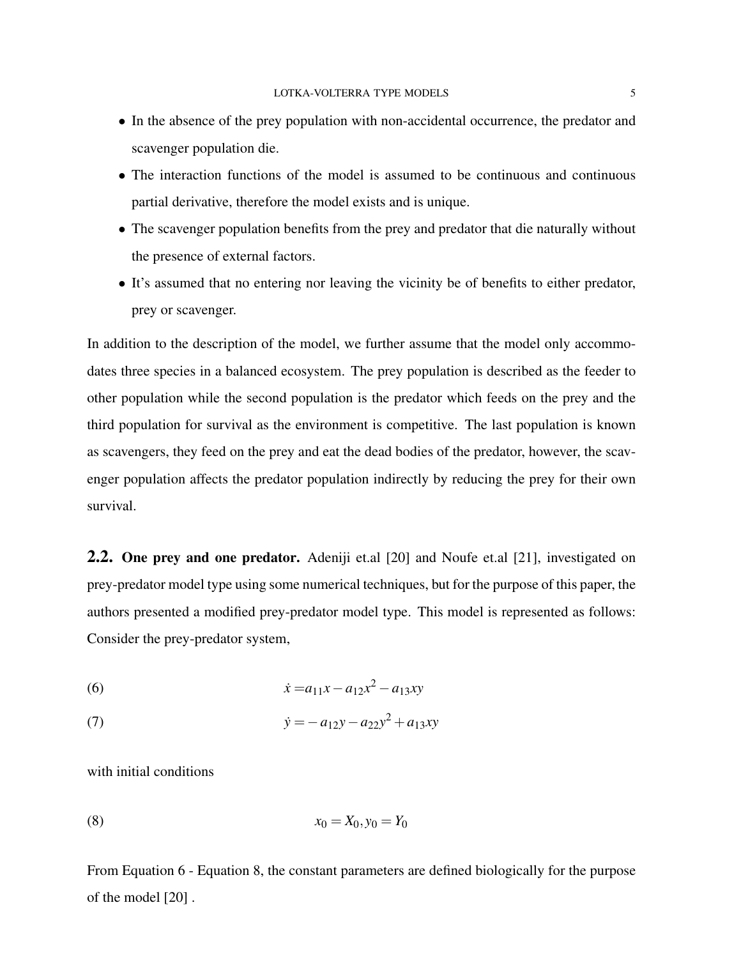- In the absence of the prey population with non-accidental occurrence, the predator and scavenger population die.
- The interaction functions of the model is assumed to be continuous and continuous partial derivative, therefore the model exists and is unique.
- The scavenger population benefits from the prey and predator that die naturally without the presence of external factors.
- It's assumed that no entering nor leaving the vicinity be of benefits to either predator, prey or scavenger.

In addition to the description of the model, we further assume that the model only accommodates three species in a balanced ecosystem. The prey population is described as the feeder to other population while the second population is the predator which feeds on the prey and the third population for survival as the environment is competitive. The last population is known as scavengers, they feed on the prey and eat the dead bodies of the predator, however, the scavenger population affects the predator population indirectly by reducing the prey for their own survival.

**2.2.** One prey and one predator. Adeniji et.al [\[20\]](#page-16-9) and Noufe et.al [\[21\]](#page-16-10), investigated on prey-predator model type using some numerical techniques, but for the purpose of this paper, the authors presented a modified prey-predator model type. This model is represented as follows: Consider the prey-predator system,

<span id="page-4-0"></span>(6) 
$$
\dot{x} = a_{11}x - a_{12}x^2 - a_{13}xy
$$

(7) 
$$
\dot{y} = -a_{12}y - a_{22}y^2 + a_{13}xy
$$

with initial conditions

<span id="page-4-1"></span>(8) 
$$
x_0 = X_0, y_0 = Y_0
$$

From Equation [6](#page-4-0) - Equation [8,](#page-4-1) the constant parameters are defined biologically for the purpose of the model [\[20\]](#page-16-9) .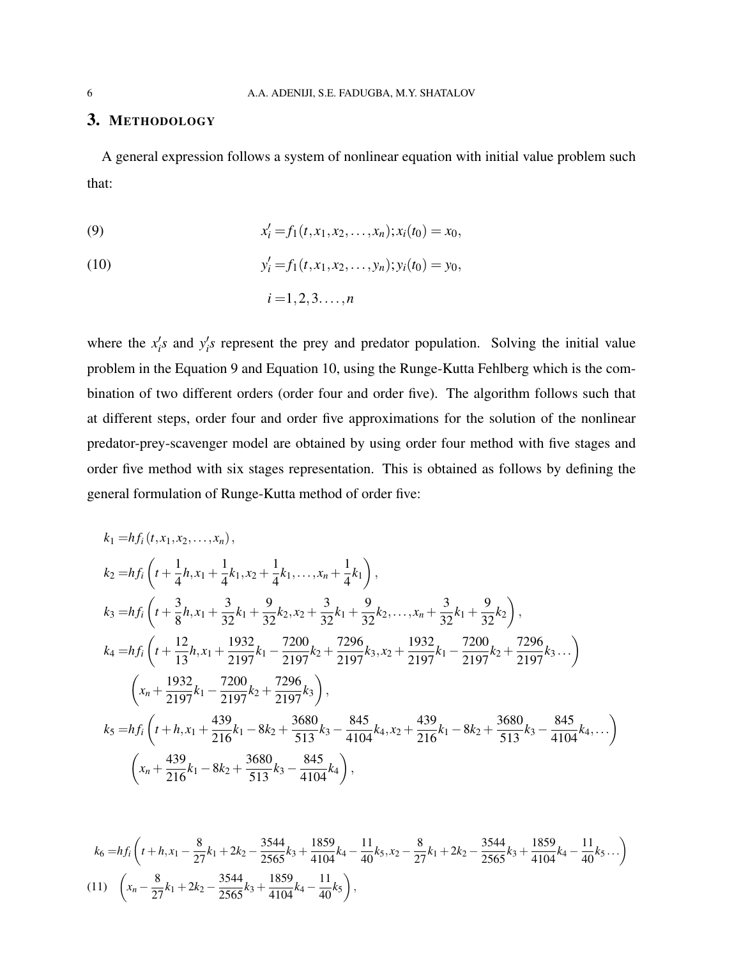# <span id="page-5-0"></span>3. METHODOLOGY

A general expression follows a system of nonlinear equation with initial value problem such that:

<span id="page-5-2"></span><span id="page-5-1"></span>(9) 
$$
x'_{i} = f_{1}(t, x_{1}, x_{2}, \ldots, x_{n}); x_{i}(t_{0}) = x_{0},
$$

(10) 
$$
y'_{i} = f_{1}(t, x_{1}, x_{2}, \ldots, y_{n}); y_{i}(t_{0}) = y_{0},
$$

$$
i = 1, 2, 3, \ldots, n
$$

where the  $x_i$ 's and  $y_i$ 's represent the prey and predator population. Solving the initial value problem in the Equation [9](#page-5-1) and Equation [10,](#page-5-2) using the Runge-Kutta Fehlberg which is the combination of two different orders (order four and order five). The algorithm follows such that at different steps, order four and order five approximations for the solution of the nonlinear predator-prey-scavenger model are obtained by using order four method with five stages and order five method with six stages representation. This is obtained as follows by defining the general formulation of Runge-Kutta method of order five:

$$
k_{1} = hf_{i}(t, x_{1}, x_{2},...,x_{n}),
$$
\n
$$
k_{2} = hf_{i}\left(t + \frac{1}{4}h, x_{1} + \frac{1}{4}k_{1}, x_{2} + \frac{1}{4}k_{1},...,x_{n} + \frac{1}{4}k_{1}\right),
$$
\n
$$
k_{3} = hf_{i}\left(t + \frac{3}{8}h, x_{1} + \frac{3}{32}k_{1} + \frac{9}{32}k_{2}, x_{2} + \frac{3}{32}k_{1} + \frac{9}{32}k_{2},...,x_{n} + \frac{3}{32}k_{1} + \frac{9}{32}k_{2}\right),
$$
\n
$$
k_{4} = hf_{i}\left(t + \frac{12}{13}h, x_{1} + \frac{1932}{2197}k_{1} - \frac{7200}{2197}k_{2} + \frac{7296}{2197}k_{3}, x_{2} + \frac{1932}{2197}k_{1} - \frac{7200}{2197}k_{2} + \frac{7296}{2197}k_{3}...\right)
$$
\n
$$
\left(x_{n} + \frac{1932}{2197}k_{1} - \frac{7200}{2197}k_{2} + \frac{7296}{2197}k_{3}\right),
$$
\n
$$
k_{5} = hf_{i}\left(t + h, x_{1} + \frac{439}{216}k_{1} - 8k_{2} + \frac{3680}{513}k_{3} - \frac{845}{4104}k_{4}, x_{2} + \frac{439}{216}k_{1} - 8k_{2} + \frac{3680}{513}k_{3} - \frac{845}{4104}k_{4}, ... \right)
$$
\n
$$
\left(x_{n} + \frac{439}{216}k_{1} - 8k_{2} + \frac{3680}{513}k_{3} - \frac{845}{4104}k_{4}\right),
$$

<span id="page-5-3"></span>
$$
k_6 = hf_i \left( t + h, x_1 - \frac{8}{27}k_1 + 2k_2 - \frac{3544}{2565}k_3 + \frac{1859}{4104}k_4 - \frac{11}{40}k_5, x_2 - \frac{8}{27}k_1 + 2k_2 - \frac{3544}{2565}k_3 + \frac{1859}{4104}k_4 - \frac{11}{40}k_5 \ldots \right)
$$
  
(11)  $\left( x_n - \frac{8}{27}k_1 + 2k_2 - \frac{3544}{2565}k_3 + \frac{1859}{4104}k_4 - \frac{11}{40}k_5 \right),$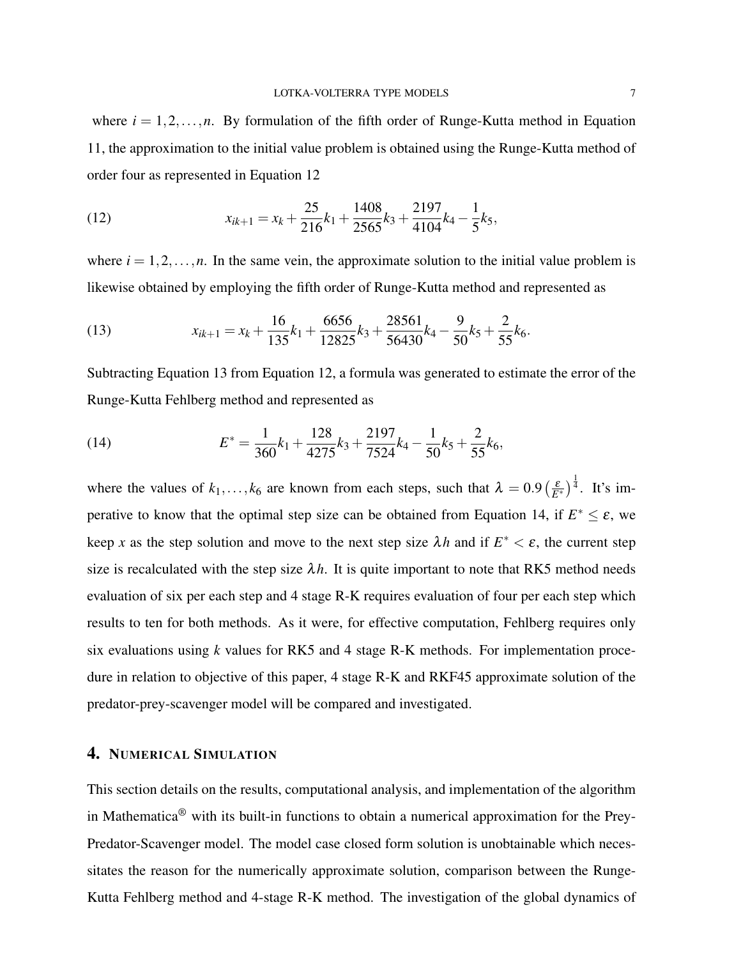where  $i = 1, 2, \ldots, n$ . By formulation of the fifth order of Runge-Kutta method in Equation [11,](#page-5-3) the approximation to the initial value problem is obtained using the Runge-Kutta method of order four as represented in Equation [12](#page-6-1)

<span id="page-6-1"></span>(12) 
$$
x_{ik+1} = x_k + \frac{25}{216}k_1 + \frac{1408}{2565}k_3 + \frac{2197}{4104}k_4 - \frac{1}{5}k_5,
$$

where  $i = 1, 2, \ldots, n$ . In the same vein, the approximate solution to the initial value problem is likewise obtained by employing the fifth order of Runge-Kutta method and represented as

<span id="page-6-2"></span>(13) 
$$
x_{ik+1} = x_k + \frac{16}{135}k_1 + \frac{6656}{12825}k_3 + \frac{28561}{56430}k_4 - \frac{9}{50}k_5 + \frac{2}{55}k_6.
$$

Subtracting Equation [13](#page-6-2) from Equation [12,](#page-6-1) a formula was generated to estimate the error of the Runge-Kutta Fehlberg method and represented as

<span id="page-6-3"></span>(14) 
$$
E^* = \frac{1}{360}k_1 + \frac{128}{4275}k_3 + \frac{2197}{7524}k_4 - \frac{1}{50}k_5 + \frac{2}{55}k_6,
$$

where the values of  $k_1, ..., k_6$  are known from each steps, such that  $\lambda = 0.9 \left(\frac{\varepsilon}{E^*}\right)^{\frac{1}{4}}$ . It's im-perative to know that the optimal step size can be obtained from Equation [14,](#page-6-3) if  $E^* \leq \varepsilon$ , we keep *x* as the step solution and move to the next step size  $\lambda h$  and if  $E^* < \varepsilon$ , the current step size is recalculated with the step size  $\lambda h$ . It is quite important to note that RK5 method needs evaluation of six per each step and 4 stage R-K requires evaluation of four per each step which results to ten for both methods. As it were, for effective computation, Fehlberg requires only six evaluations using *k* values for RK5 and 4 stage R-K methods. For implementation procedure in relation to objective of this paper, 4 stage R-K and RKF45 approximate solution of the predator-prey-scavenger model will be compared and investigated.

# <span id="page-6-0"></span>4. NUMERICAL SIMULATION

This section details on the results, computational analysis, and implementation of the algorithm in Mathematica® with its built-in functions to obtain a numerical approximation for the Prey-Predator-Scavenger model. The model case closed form solution is unobtainable which necessitates the reason for the numerically approximate solution, comparison between the Runge-Kutta Fehlberg method and 4-stage R-K method. The investigation of the global dynamics of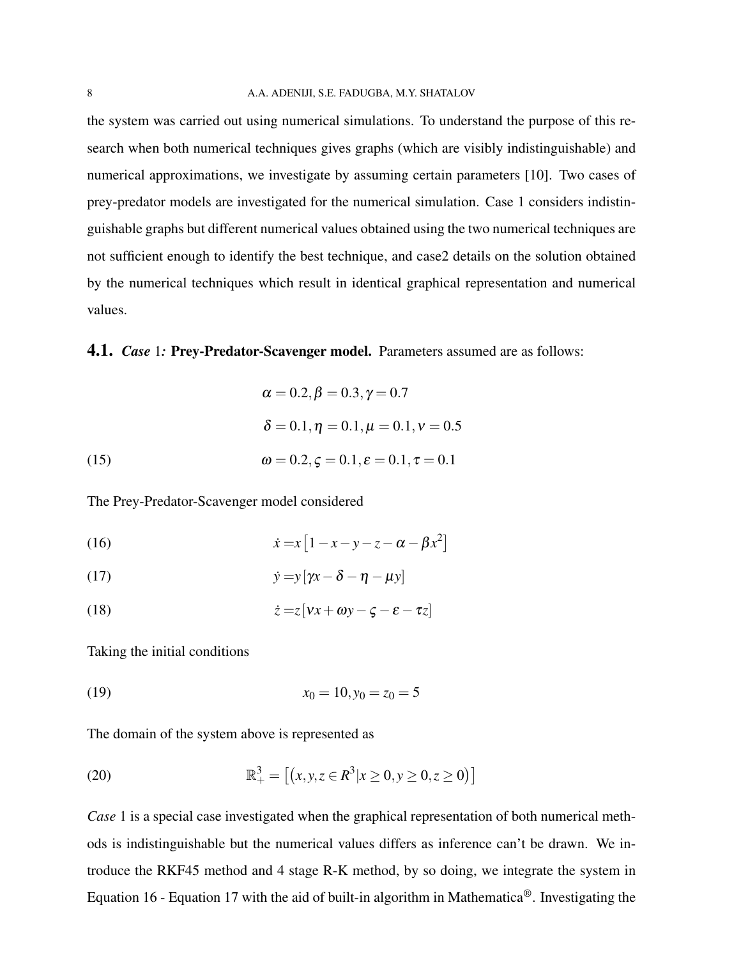the system was carried out using numerical simulations. To understand the purpose of this research when both numerical techniques gives graphs (which are visibly indistinguishable) and numerical approximations, we investigate by assuming certain parameters [\[10\]](#page-15-9). Two cases of prey-predator models are investigated for the numerical simulation. Case 1 considers indistinguishable graphs but different numerical values obtained using the two numerical techniques are not sufficient enough to identify the best technique, and case2 details on the solution obtained by the numerical techniques which result in identical graphical representation and numerical values.

### **4.1.** *Case* 1: Prey-Predator-Scavenger model. Parameters assumed are as follows:

(15)  
\n
$$
\alpha = 0.2, \beta = 0.3, \gamma = 0.7
$$
\n
$$
\delta = 0.1, \eta = 0.1, \mu = 0.1, \nu = 0.5
$$
\n
$$
\omega = 0.2, \zeta = 0.1, \epsilon = 0.1, \tau = 0.1
$$

<span id="page-7-0"></span>The Prey-Predator-Scavenger model considered

<span id="page-7-1"></span>(16) 
$$
\dot{x} = x \left[ 1 - x - y - z - \alpha - \beta x^2 \right]
$$

<span id="page-7-2"></span>(17) 
$$
\dot{y} = y[\gamma x - \delta - \eta - \mu y]
$$

(18) 
$$
\dot{z} = z[vx + \omega y - \zeta - \varepsilon - \tau z]
$$

Taking the initial conditions

(19) 
$$
x_0 = 10, y_0 = z_0 = 5
$$

The domain of the system above is represented as

(20) 
$$
\mathbb{R}^3_+ = [(x, y, z \in \mathbb{R}^3 | x \ge 0, y \ge 0, z \ge 0)]
$$

*Case* 1 is a special case investigated when the graphical representation of both numerical methods is indistinguishable but the numerical values differs as inference can't be drawn. We introduce the RKF45 method and 4 stage R-K method, by so doing, we integrate the system in Equation [16](#page-7-0) - Equation [17](#page-7-1) with the aid of built-in algorithm in Mathematica®. Investigating the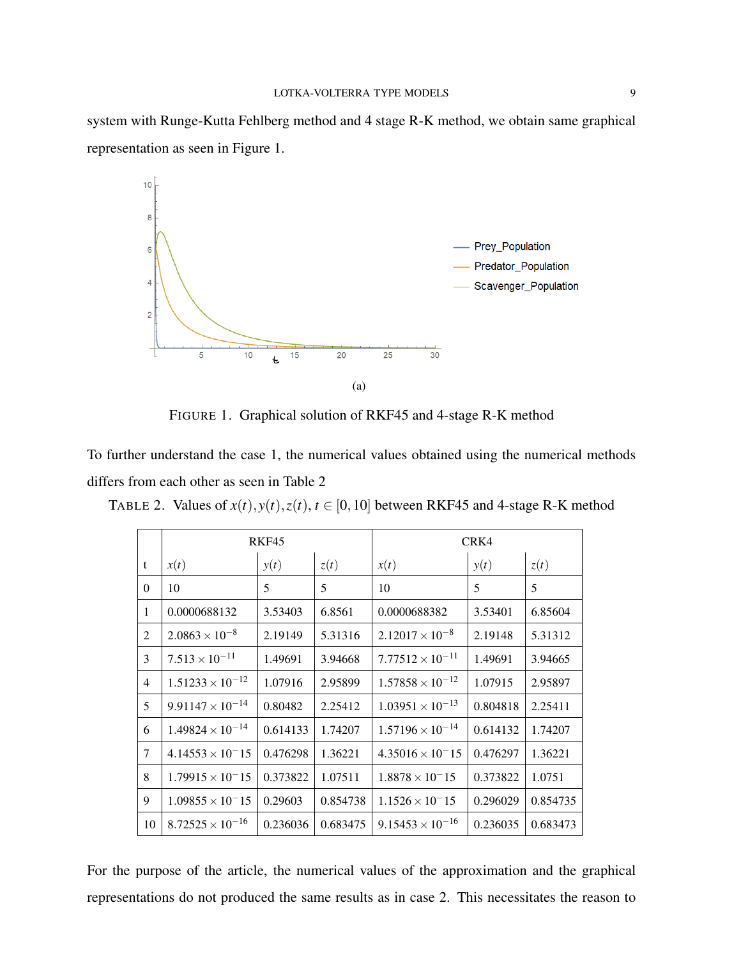system with Runge-Kutta Fehlberg method and 4 stage R-K method, we obtain same graphical representation as seen in Figure [1.](#page-8-0)



<span id="page-8-0"></span>FIGURE 1. Graphical solution of RKF45 and 4-stage R-K method

To further understand the case 1, the numerical values obtained using the numerical methods differs from each other as seen in Table [2](#page-8-1)

<span id="page-8-1"></span>

|                | RKF45                     |          |          | CRK4                      |          |          |
|----------------|---------------------------|----------|----------|---------------------------|----------|----------|
| t              | x(t)                      | y(t)     | z(t)     | x(t)                      | y(t)     | z(t)     |
| $\Omega$       | 10                        | 5        | 5        | 10                        | 5        | 5        |
| $\mathbf{1}$   | 0.0000688132              | 3.53403  | 6.8561   | 0.0000688382              | 3.53401  | 6.85604  |
| $\overline{2}$ | $2.0863 \times 10^{-8}$   | 2.19149  | 5.31316  | $2.12017 \times 10^{-8}$  | 2.19148  | 5.31312  |
| 3              | $7.513 \times 10^{-11}$   | 1.49691  | 3.94668  | $7.77512 \times 10^{-11}$ | 1.49691  | 3.94665  |
| $\overline{4}$ | $1.51233 \times 10^{-12}$ | 1.07916  | 2.95899  | $1.57858 \times 10^{-12}$ | 1.07915  | 2.95897  |
| 5              | $9.91147 \times 10^{-14}$ | 0.80482  | 2.25412  | $1.03951 \times 10^{-13}$ | 0.804818 | 2.25411  |
| 6              | $1.49824 \times 10^{-14}$ | 0.614133 | 1.74207  | $1.57196 \times 10^{-14}$ | 0.614132 | 1.74207  |
| 7              | $4.14553 \times 10^{-15}$ | 0.476298 | 1.36221  | $4.35016 \times 10^{-15}$ | 0.476297 | 1.36221  |
| 8              | $1.79915 \times 10^{-15}$ | 0.373822 | 1.07511  | $1.8878 \times 10^{-15}$  | 0.373822 | 1.0751   |
| 9              | $1.09855 \times 10^{-15}$ | 0.29603  | 0.854738 | $1.1526 \times 10^{-15}$  | 0.296029 | 0.854735 |
| 10             | $8.72525 \times 10^{-16}$ | 0.236036 | 0.683475 | $9.15453 \times 10^{-16}$ | 0.236035 | 0.683473 |

TABLE 2. Values of  $x(t)$ ,  $y(t)$ ,  $z(t)$ ,  $t \in [0, 10]$  between RKF45 and 4-stage R-K method

For the purpose of the article, the numerical values of the approximation and the graphical representations do not produced the same results as in case 2. This necessitates the reason to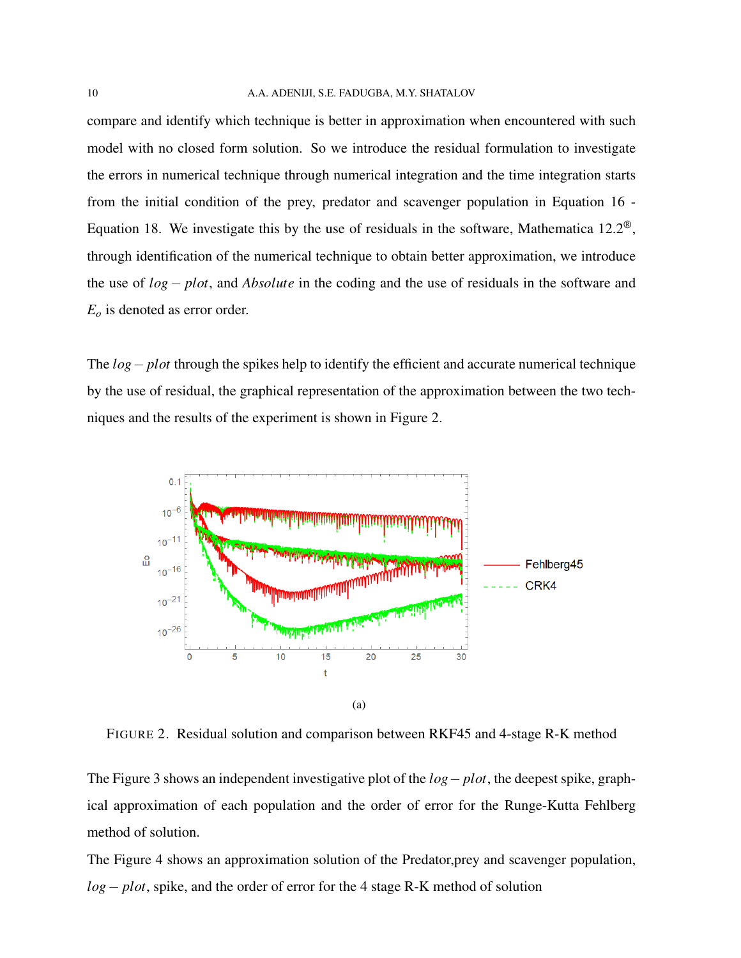compare and identify which technique is better in approximation when encountered with such model with no closed form solution. So we introduce the residual formulation to investigate the errors in numerical technique through numerical integration and the time integration starts from the initial condition of the prey, predator and scavenger population in Equation [16](#page-7-0) - Equation [18.](#page-7-2) We investigate this by the use of residuals in the software, Mathematica  $12.2^{\circledast}$ , through identification of the numerical technique to obtain better approximation, we introduce the use of *log* − *plot*, and *Absolute* in the coding and the use of residuals in the software and *E<sup>o</sup>* is denoted as error order.

The *log*− *plot* through the spikes help to identify the efficient and accurate numerical technique by the use of residual, the graphical representation of the approximation between the two techniques and the results of the experiment is shown in Figure [2.](#page-9-0)



<span id="page-9-0"></span>FIGURE 2. Residual solution and comparison between RKF45 and 4-stage R-K method

The Figure [3](#page-10-0) shows an independent investigative plot of the *log*− *plot*, the deepest spike, graphical approximation of each population and the order of error for the Runge-Kutta Fehlberg method of solution.

The Figure [4](#page-10-1) shows an approximation solution of the Predator,prey and scavenger population, *log*− *plot*, spike, and the order of error for the 4 stage R-K method of solution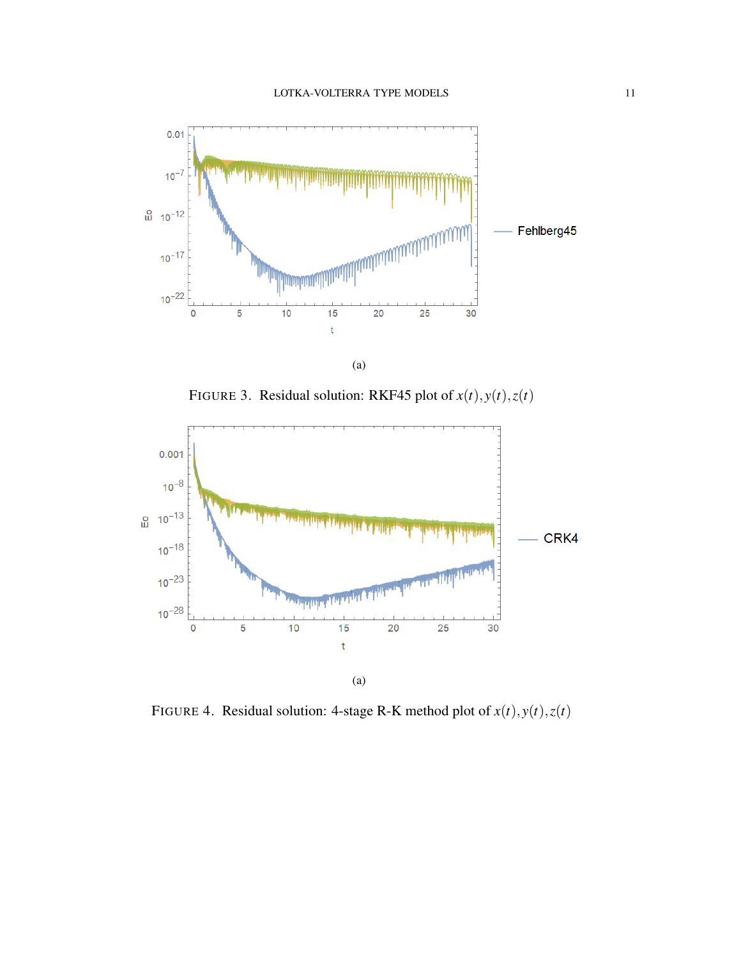

<span id="page-10-0"></span>FIGURE 3. Residual solution: RKF45 plot of  $x(t)$ ,  $y(t)$ ,  $z(t)$ 



<span id="page-10-1"></span>FIGURE 4. Residual solution: 4-stage R-K method plot of  $x(t)$ ,  $y(t)$ ,  $z(t)$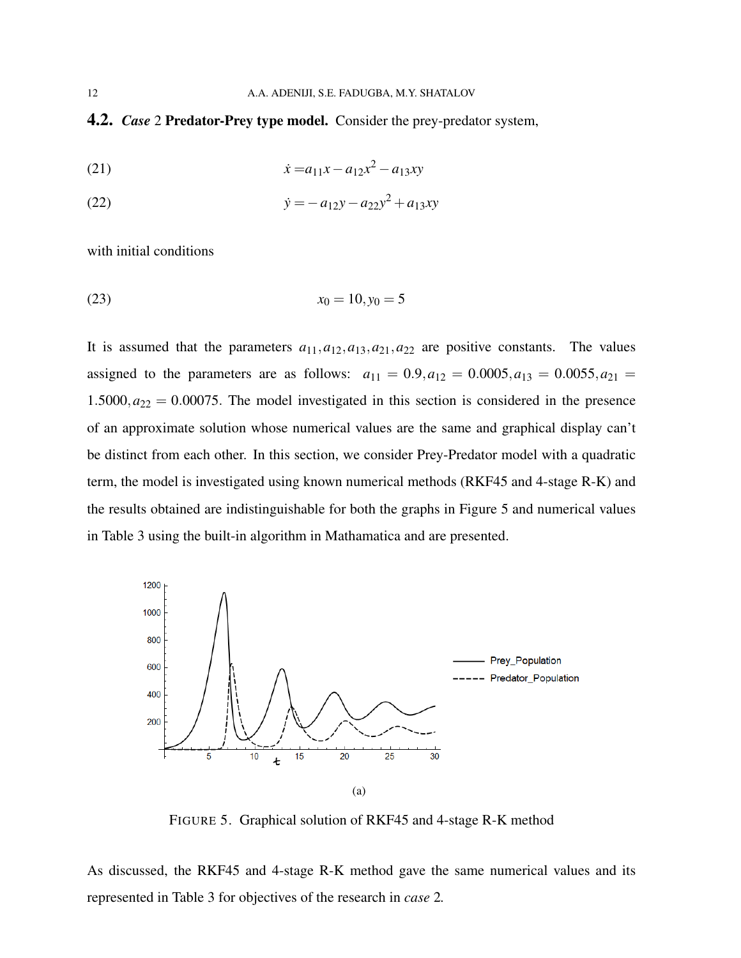4.2. *Case* 2 Predator-Prey type model. Consider the prey-predator system,

(21) 
$$
\dot{x} = a_{11}x - a_{12}x^2 - a_{13}xy
$$

(22) 
$$
\dot{y} = -a_{12}y - a_{22}y^2 + a_{13}xy
$$

with initial conditions

$$
(23) \t\t x_0 = 10, y_0 = 5
$$

It is assumed that the parameters  $a_{11}, a_{12}, a_{13}, a_{21}, a_{22}$  are positive constants. The values assigned to the parameters are as follows:  $a_{11} = 0.9, a_{12} = 0.0005, a_{13} = 0.0055, a_{21} = 0.0005$  $1.5000, a_{22} = 0.00075$ . The model investigated in this section is considered in the presence of an approximate solution whose numerical values are the same and graphical display can't be distinct from each other. In this section, we consider Prey-Predator model with a quadratic term, the model is investigated using known numerical methods (RKF45 and 4-stage R-K) and the results obtained are indistinguishable for both the graphs in Figure [5](#page-11-0) and numerical values in Table [3](#page-12-0) using the built-in algorithm in Mathamatica and are presented.



<span id="page-11-0"></span>FIGURE 5. Graphical solution of RKF45 and 4-stage R-K method

As discussed, the RKF45 and 4-stage R-K method gave the same numerical values and its represented in Table [3](#page-12-0) for objectives of the research in *case* 2*.*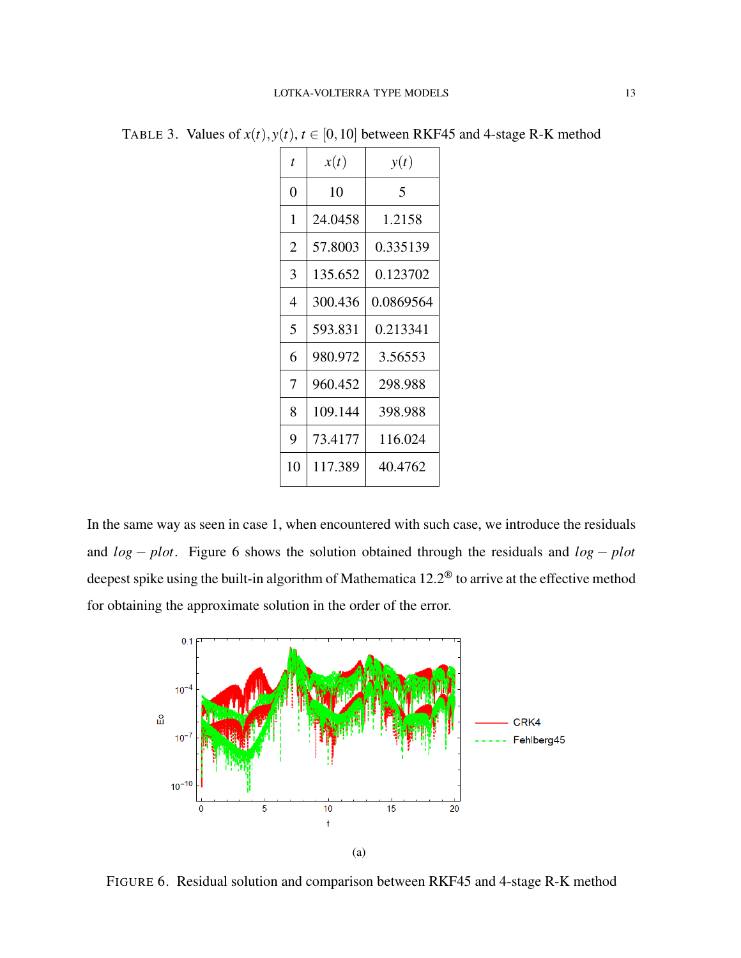| t  | x(t)    | y(t)      |  |
|----|---------|-----------|--|
| 0  | 10      | 5         |  |
| 1  | 24.0458 | 1.2158    |  |
| 2  | 57.8003 | 0.335139  |  |
| 3  | 135.652 | 0.123702  |  |
| 4  | 300.436 | 0.0869564 |  |
| 5  | 593.831 | 0.213341  |  |
| 6  | 980.972 | 3.56553   |  |
| 7  | 960.452 | 298.988   |  |
| 8  | 109.144 | 398.988   |  |
| 9  | 73.4177 | 116.024   |  |
| 10 | 117.389 | 40.4762   |  |

<span id="page-12-0"></span>TABLE 3. Values of  $x(t)$ ,  $y(t)$ ,  $t \in [0, 10]$  between RKF45 and 4-stage R-K method

In the same way as seen in case 1, when encountered with such case, we introduce the residuals and *log* − *plot*. Figure [6](#page-12-1) shows the solution obtained through the residuals and *log* − *plot* deepest spike using the built-in algorithm of Mathematica 12.2® to arrive at the effective method for obtaining the approximate solution in the order of the error.



<span id="page-12-1"></span>FIGURE 6. Residual solution and comparison between RKF45 and 4-stage R-K method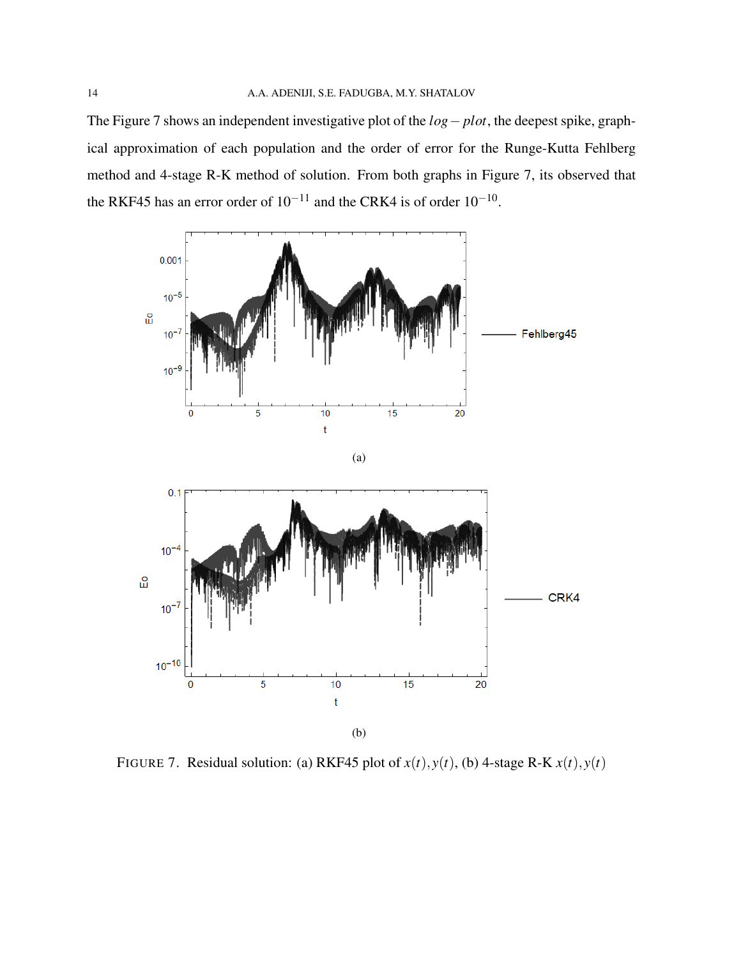The Figure [7](#page-13-0) shows an independent investigative plot of the *log*− *plot*, the deepest spike, graphical approximation of each population and the order of error for the Runge-Kutta Fehlberg method and 4-stage R-K method of solution. From both graphs in Figure [7,](#page-13-0) its observed that the RKF45 has an error order of  $10^{-11}$  and the CRK4 is of order  $10^{-10}$ .



<span id="page-13-0"></span>FIGURE 7. Residual solution: (a) RKF45 plot of  $x(t)$ ,  $y(t)$ , (b) 4-stage R-K  $x(t)$ ,  $y(t)$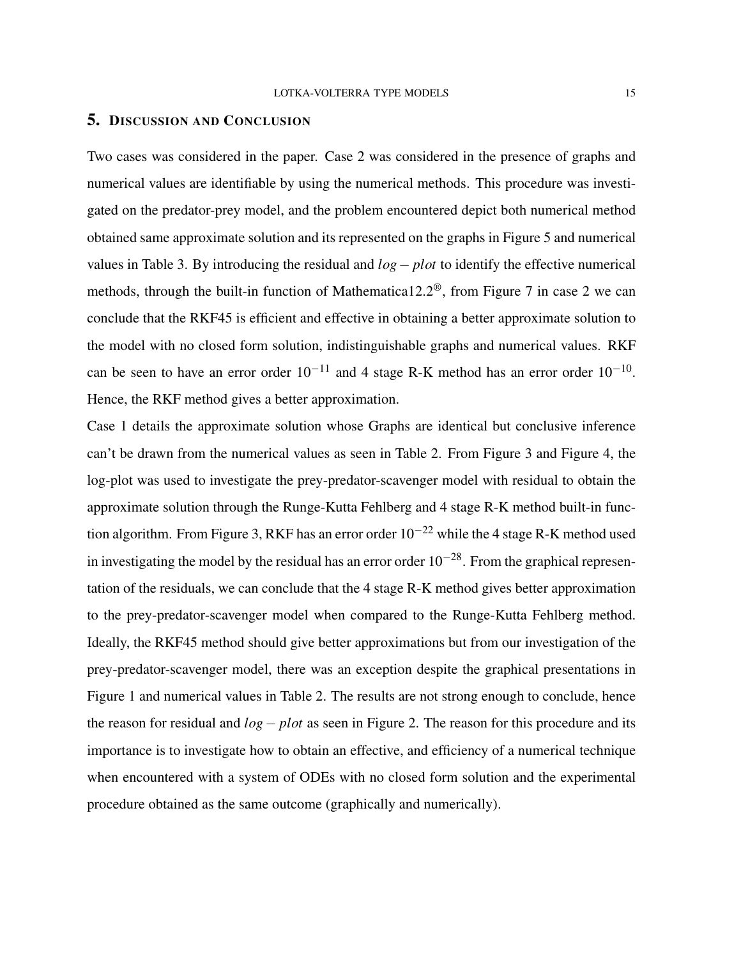### <span id="page-14-0"></span>5. DISCUSSION AND CONCLUSION

Two cases was considered in the paper. Case 2 was considered in the presence of graphs and numerical values are identifiable by using the numerical methods. This procedure was investigated on the predator-prey model, and the problem encountered depict both numerical method obtained same approximate solution and its represented on the graphs in Figure [5](#page-11-0) and numerical values in Table [3.](#page-12-0) By introducing the residual and *log*− *plot* to identify the effective numerical methods, through the built-in function of Mathematica12.2<sup> $\circledast$ </sup>, from Figure [7](#page-13-0) in case 2 we can conclude that the RKF45 is efficient and effective in obtaining a better approximate solution to the model with no closed form solution, indistinguishable graphs and numerical values. RKF can be seen to have an error order  $10^{-11}$  and 4 stage R-K method has an error order  $10^{-10}$ . Hence, the RKF method gives a better approximation.

Case 1 details the approximate solution whose Graphs are identical but conclusive inference can't be drawn from the numerical values as seen in Table [2.](#page-8-1) From Figure [3](#page-10-0) and Figure [4,](#page-10-1) the log-plot was used to investigate the prey-predator-scavenger model with residual to obtain the approximate solution through the Runge-Kutta Fehlberg and 4 stage R-K method built-in func-tion algorithm. From Figure [3,](#page-10-0) RKF has an error order  $10^{-22}$  while the 4 stage R-K method used in investigating the model by the residual has an error order  $10^{-28}$ . From the graphical representation of the residuals, we can conclude that the 4 stage R-K method gives better approximation to the prey-predator-scavenger model when compared to the Runge-Kutta Fehlberg method. Ideally, the RKF45 method should give better approximations but from our investigation of the prey-predator-scavenger model, there was an exception despite the graphical presentations in Figure [1](#page-8-0) and numerical values in Table [2.](#page-8-1) The results are not strong enough to conclude, hence the reason for residual and *log*− *plot* as seen in Figure [2.](#page-9-0) The reason for this procedure and its importance is to investigate how to obtain an effective, and efficiency of a numerical technique when encountered with a system of ODEs with no closed form solution and the experimental procedure obtained as the same outcome (graphically and numerically).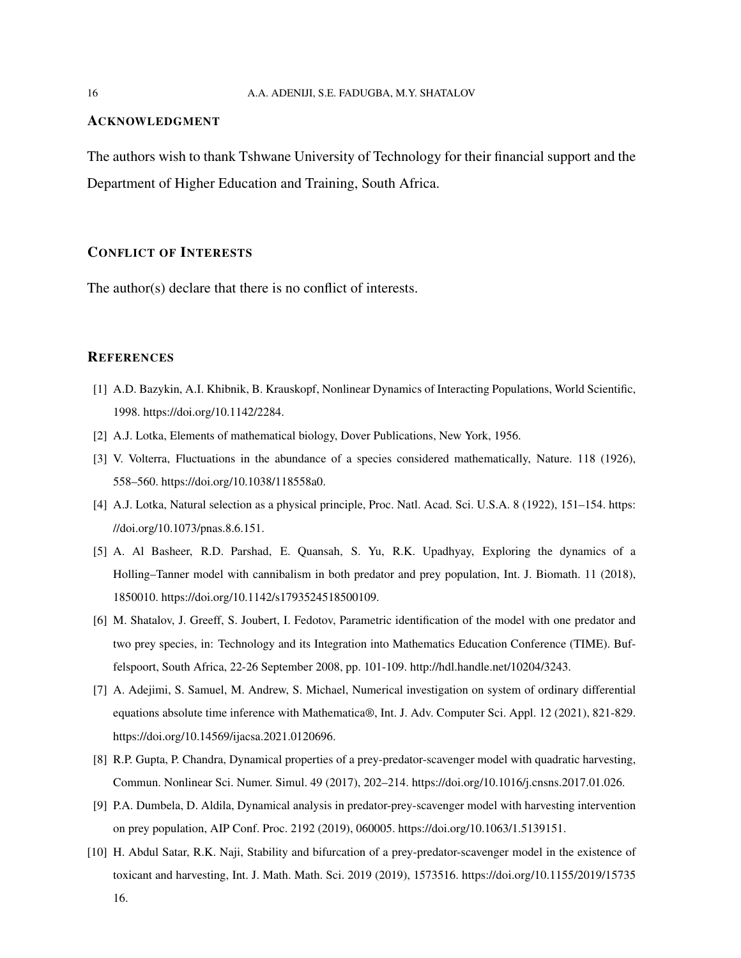#### ACKNOWLEDGMENT

The authors wish to thank Tshwane University of Technology for their financial support and the Department of Higher Education and Training, South Africa.

### CONFLICT OF INTERESTS

The author(s) declare that there is no conflict of interests.

#### **REFERENCES**

- <span id="page-15-0"></span>[1] A.D. Bazykin, A.I. Khibnik, B. Krauskopf, Nonlinear Dynamics of Interacting Populations, World Scientific, 1998. [https://doi.org/10.1142/2284.](https://doi.org/10.1142/2284)
- <span id="page-15-2"></span><span id="page-15-1"></span>[2] A.J. Lotka, Elements of mathematical biology, Dover Publications, New York, 1956.
- [3] V. Volterra, Fluctuations in the abundance of a species considered mathematically, Nature. 118 (1926), 558–560. [https://doi.org/10.1038/118558a0.](https://doi.org/10.1038/118558a0)
- <span id="page-15-3"></span>[4] A.J. Lotka, Natural selection as a physical principle, Proc. Natl. Acad. Sci. U.S.A. 8 (1922), 151–154. [https:](https://doi.org/10.1073/pnas.8.6.151) [//doi.org/10.1073/pnas.8.6.151.](https://doi.org/10.1073/pnas.8.6.151)
- <span id="page-15-4"></span>[5] A. Al Basheer, R.D. Parshad, E. Quansah, S. Yu, R.K. Upadhyay, Exploring the dynamics of a Holling–Tanner model with cannibalism in both predator and prey population, Int. J. Biomath. 11 (2018), 1850010. [https://doi.org/10.1142/s1793524518500109.](https://doi.org/10.1142/s1793524518500109)
- <span id="page-15-5"></span>[6] M. Shatalov, J. Greeff, S. Joubert, I. Fedotov, Parametric identification of the model with one predator and two prey species, in: Technology and its Integration into Mathematics Education Conference (TIME). Buffelspoort, South Africa, 22-26 September 2008, pp. 101-109. [http://hdl.handle.net/10204/3243.](http://hdl.handle.net/10204/3243)
- <span id="page-15-6"></span>[7] A. Adejimi, S. Samuel, M. Andrew, S. Michael, Numerical investigation on system of ordinary differential equations absolute time inference with Mathematica®, Int. J. Adv. Computer Sci. Appl. 12 (2021), 821-829. [https://doi.org/10.14569/ijacsa.2021.0120696.](https://doi.org/10.14569/ijacsa.2021.0120696)
- <span id="page-15-7"></span>[8] R.P. Gupta, P. Chandra, Dynamical properties of a prey-predator-scavenger model with quadratic harvesting, Commun. Nonlinear Sci. Numer. Simul. 49 (2017), 202–214. [https://doi.org/10.1016/j.cnsns.2017.01.026.](https://doi.org/10.1016/j.cnsns.2017.01.026)
- <span id="page-15-8"></span>[9] P.A. Dumbela, D. Aldila, Dynamical analysis in predator-prey-scavenger model with harvesting intervention on prey population, AIP Conf. Proc. 2192 (2019), 060005. [https://doi.org/10.1063/1.5139151.](https://doi.org/10.1063/1.5139151)
- <span id="page-15-9"></span>[10] H. Abdul Satar, R.K. Naji, Stability and bifurcation of a prey-predator-scavenger model in the existence of toxicant and harvesting, Int. J. Math. Math. Sci. 2019 (2019), 1573516. [https://doi.org/10.1155/2019/15735](https://doi.org/10.1155/2019/1573516) [16.](https://doi.org/10.1155/2019/1573516)